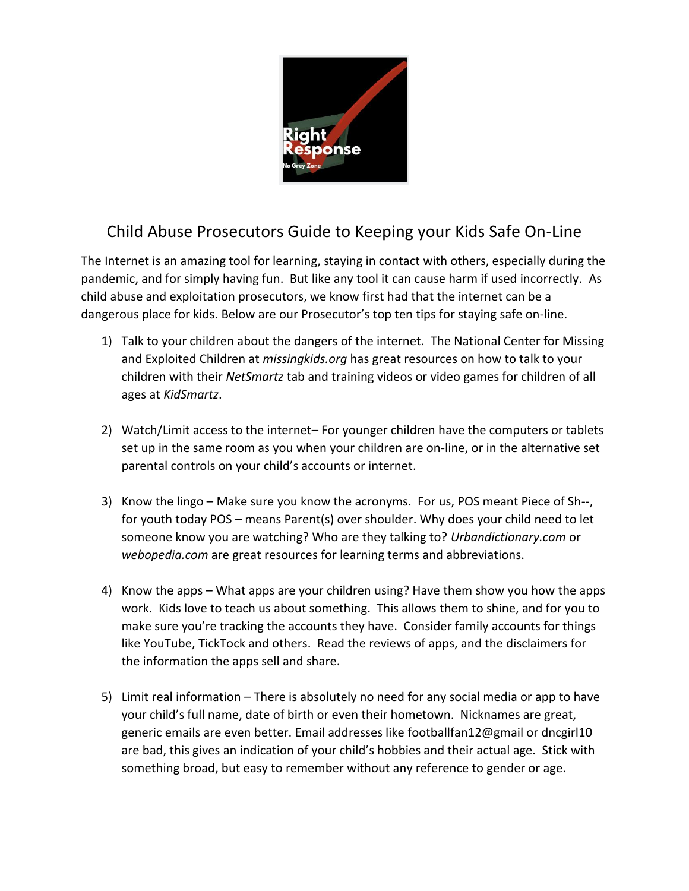

## Child Abuse Prosecutors Guide to Keeping your Kids Safe On-Line

The Internet is an amazing tool for learning, staying in contact with others, especially during the pandemic, and for simply having fun. But like any tool it can cause harm if used incorrectly. As child abuse and exploitation prosecutors, we know first had that the internet can be a dangerous place for kids. Below are our Prosecutor's top ten tips for staying safe on-line.

- 1) Talk to your children about the dangers of the internet. The National Center for Missing and Exploited Children at *missingkids.org* has great resources on how to talk to your children with their *NetSmartz* tab and training videos or video games for children of all ages at *KidSmartz*.
- 2) Watch/Limit access to the internet– For younger children have the computers or tablets set up in the same room as you when your children are on-line, or in the alternative set parental controls on your child's accounts or internet.
- 3) Know the lingo Make sure you know the acronyms. For us, POS meant Piece of Sh--, for youth today POS – means Parent(s) over shoulder. Why does your child need to let someone know you are watching? Who are they talking to? *Urbandictionary.com* or *webopedia.com* are great resources for learning terms and abbreviations.
- 4) Know the apps What apps are your children using? Have them show you how the apps work. Kids love to teach us about something. This allows them to shine, and for you to make sure you're tracking the accounts they have. Consider family accounts for things like YouTube, TickTock and others. Read the reviews of apps, and the disclaimers for the information the apps sell and share.
- 5) Limit real information There is absolutely no need for any social media or app to have your child's full name, date of birth or even their hometown. Nicknames are great, generic emails are even better. Email addresses like footballfan12@gmail or dncgirl10 are bad, this gives an indication of your child's hobbies and their actual age. Stick with something broad, but easy to remember without any reference to gender or age.